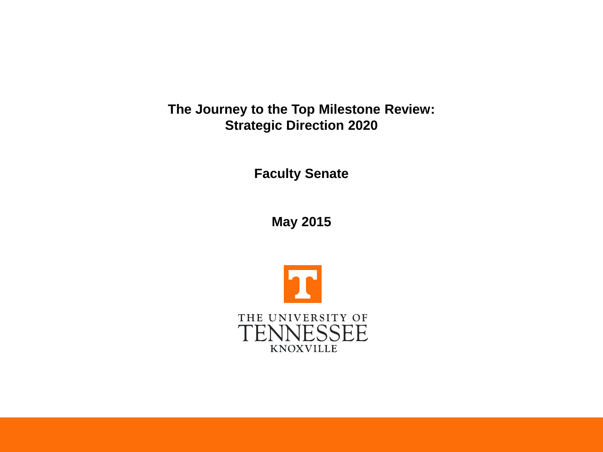**The Journey to the Top Milestone Review: Strategic Direction 2020**

**Faculty Senate**

**May 2015**

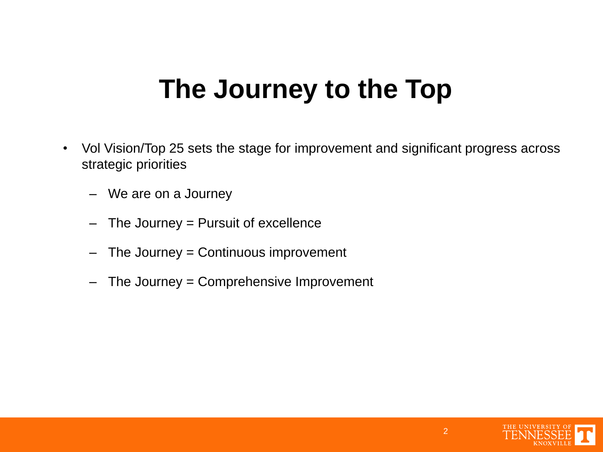# **The Journey to the Top**

- Vol Vision/Top 25 sets the stage for improvement and significant progress across strategic priorities
	- We are on a Journey
	- The Journey  $=$  Pursuit of excellence
	- $-$  The Journey = Continuous improvement
	- The Journey = Comprehensive Improvement

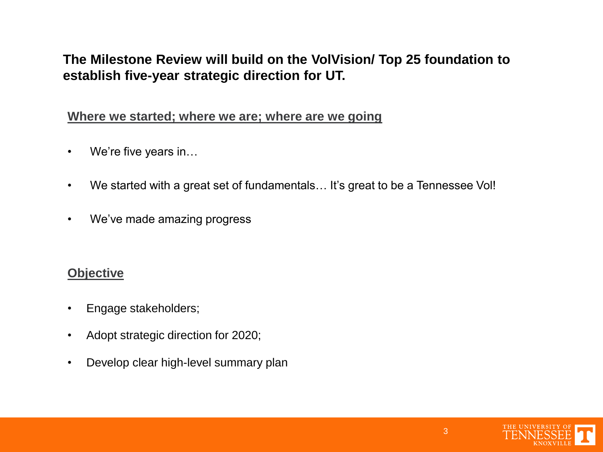### **The Milestone Review will build on the VolVision/ Top 25 foundation to establish five-year strategic direction for UT.**

#### **Where we started; where we are; where are we going**

- We're five years in...
- We started with a great set of fundamentals… It's great to be a Tennessee Vol!
- We've made amazing progress

#### **Objective**

- Engage stakeholders;
- Adopt strategic direction for 2020;
- Develop clear high-level summary plan

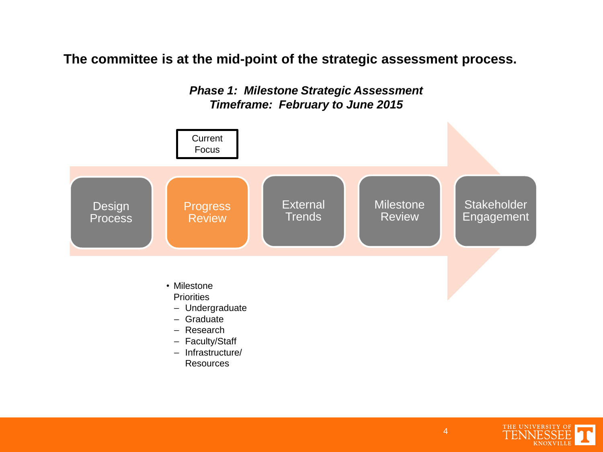**The committee is at the mid-point of the strategic assessment process.**





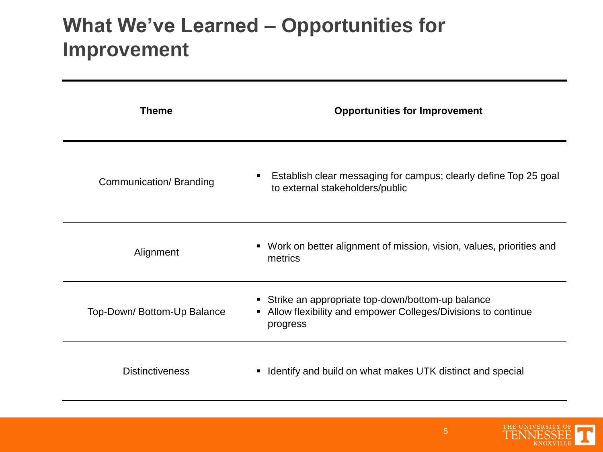## **What We've Learned – Opportunities for Improvement**

| <b>Theme</b>               | <b>Opportunities for Improvement</b>                                                                                             |
|----------------------------|----------------------------------------------------------------------------------------------------------------------------------|
| Communication/Branding     | Establish clear messaging for campus; clearly define Top 25 goal<br>to external stakeholders/public                              |
| Alignment                  | • Work on better alignment of mission, vision, values, priorities and<br>metrics                                                 |
| Top-Down/Bottom-Up Balance | • Strike an appropriate top-down/bottom-up balance<br>• Allow flexibility and empower Colleges/Divisions to continue<br>progress |
| <b>Distinctiveness</b>     | Identify and build on what makes UTK distinct and special                                                                        |

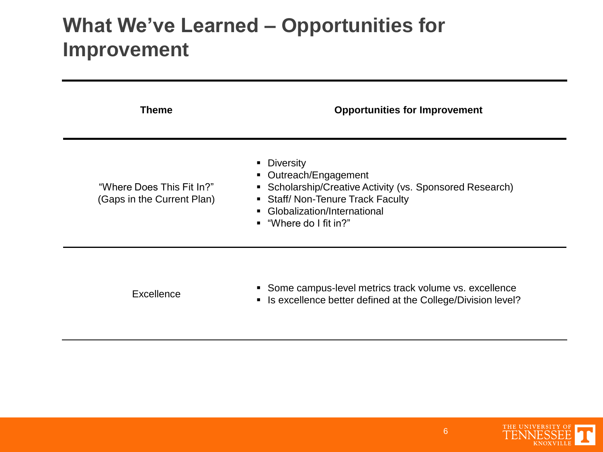## **What We've Learned – Opportunities for Improvement**

| <b>Theme</b>                                            | <b>Opportunities for Improvement</b>                                                                                                                                                                          |
|---------------------------------------------------------|---------------------------------------------------------------------------------------------------------------------------------------------------------------------------------------------------------------|
| "Where Does This Fit In?"<br>(Gaps in the Current Plan) | • Diversity<br>• Outreach/Engagement<br>• Scholarship/Creative Activity (vs. Sponsored Research)<br>• Staff/ Non-Tenure Track Faculty<br>• Globalization/International<br>$\blacksquare$ "Where do I fit in?" |
| Excellence                                              | • Some campus-level metrics track volume vs. excellence<br>• Is excellence better defined at the College/Division level?                                                                                      |